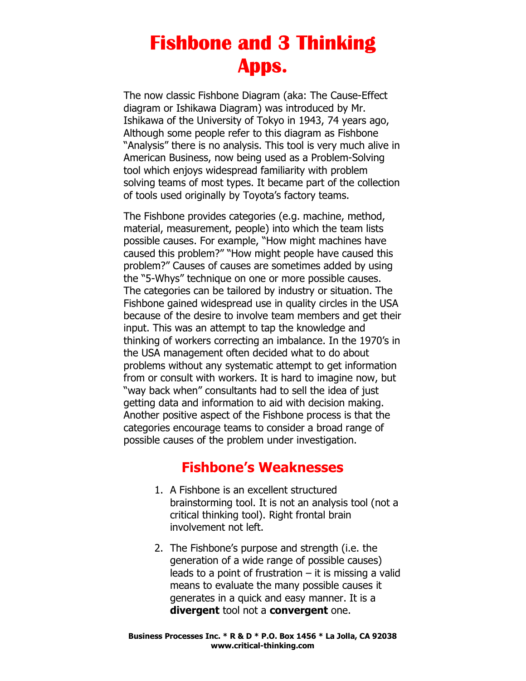The now classic Fishbone Diagram (aka: The Cause-Effect diagram or Ishikawa Diagram) was introduced by Mr. Ishikawa of the University of Tokyo in 1943, 74 years ago, Although some people refer to this diagram as Fishbone "Analysis" there is no analysis. This tool is very much alive in American Business, now being used as a Problem-Solving tool which enjoys widespread familiarity with problem solving teams of most types. It became part of the collection of tools used originally by Toyota's factory teams.

The Fishbone provides categories (e.g. machine, method, material, measurement, people) into which the team lists possible causes. For example, "How might machines have caused this problem?" "How might people have caused this problem?" Causes of causes are sometimes added by using the "5-Whys" technique on one or more possible causes. The categories can be tailored by industry or situation. The Fishbone gained widespread use in quality circles in the USA because of the desire to involve team members and get their input. This was an attempt to tap the knowledge and thinking of workers correcting an imbalance. In the 1970's in the USA management often decided what to do about problems without any systematic attempt to get information from or consult with workers. It is hard to imagine now, but "way back when" consultants had to sell the idea of just getting data and information to aid with decision making. Another positive aspect of the Fishbone process is that the categories encourage teams to consider a broad range of possible causes of the problem under investigation.

#### Fishbone's Weaknesses

- 1. A Fishbone is an excellent structured brainstorming tool. It is not an analysis tool (not a critical thinking tool). Right frontal brain involvement not left.
- 2. The Fishbone's purpose and strength (i.e. the generation of a wide range of possible causes) leads to a point of frustration  $-$  it is missing a valid means to evaluate the many possible causes it generates in a quick and easy manner. It is a divergent tool not a convergent one.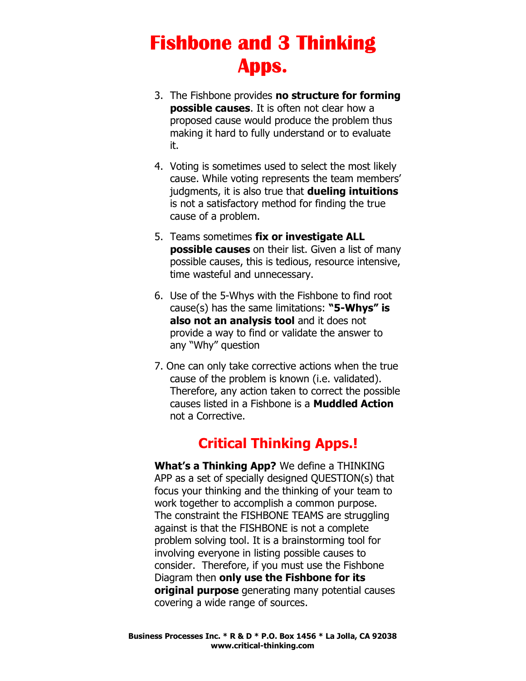- 3. The Fishbone provides no structure for forming possible causes. It is often not clear how a proposed cause would produce the problem thus making it hard to fully understand or to evaluate it.
- 4. Voting is sometimes used to select the most likely cause. While voting represents the team members' judgments, it is also true that **dueling intuitions** is not a satisfactory method for finding the true cause of a problem.
- 5. Teams sometimes fix or investigate ALL possible causes on their list. Given a list of many possible causes, this is tedious, resource intensive, time wasteful and unnecessary.
- 6. Use of the 5-Whys with the Fishbone to find root cause(s) has the same limitations: " $5-Whys"$  is also not an analysis tool and it does not provide a way to find or validate the answer to any "Why" question
- 7. One can only take corrective actions when the true cause of the problem is known (i.e. validated). Therefore, any action taken to correct the possible causes listed in a Fishbone is a Muddled Action not a Corrective.

### Critical Thinking Apps.!

What's a Thinking App? We define a THINKING APP as a set of specially designed QUESTION(s) that focus your thinking and the thinking of your team to work together to accomplish a common purpose. The constraint the FISHBONE TEAMS are struggling against is that the FISHBONE is not a complete problem solving tool. It is a brainstorming tool for involving everyone in listing possible causes to consider. Therefore, if you must use the Fishbone Diagram then only use the Fishbone for its original purpose generating many potential causes covering a wide range of sources.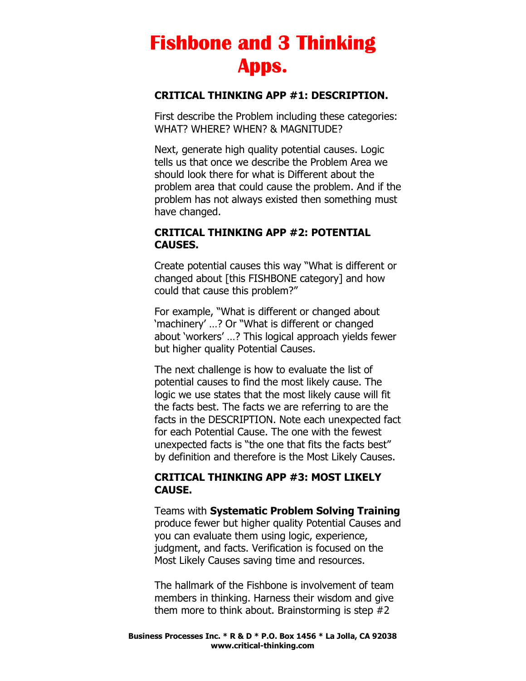#### CRITICAL THINKING APP #1: DESCRIPTION.

First describe the Problem including these categories: WHAT? WHERE? WHEN? & MAGNITUDE?

Next, generate high quality potential causes. Logic tells us that once we describe the Problem Area we should look there for what is Different about the problem area that could cause the problem. And if the problem has not always existed then something must have changed.

#### CRITICAL THINKING APP #2: POTENTIAL CAUSES.

Create potential causes this way "What is different or changed about [this FISHBONE category] and how could that cause this problem?"

For example, "What is different or changed about 'machinery' …? Or "What is different or changed about 'workers' …? This logical approach yields fewer but higher quality Potential Causes.

The next challenge is how to evaluate the list of potential causes to find the most likely cause. The logic we use states that the most likely cause will fit the facts best. The facts we are referring to are the facts in the DESCRIPTION. Note each unexpected fact for each Potential Cause. The one with the fewest unexpected facts is "the one that fits the facts best" by definition and therefore is the Most Likely Causes.

#### CRITICAL THINKING APP #3: MOST LIKELY CAUSE.

Teams with Systematic Problem Solving Training produce fewer but higher quality Potential Causes and you can evaluate them using logic, experience, judgment, and facts. Verification is focused on the Most Likely Causes saving time and resources.

The hallmark of the Fishbone is involvement of team members in thinking. Harness their wisdom and give them more to think about. Brainstorming is step #2